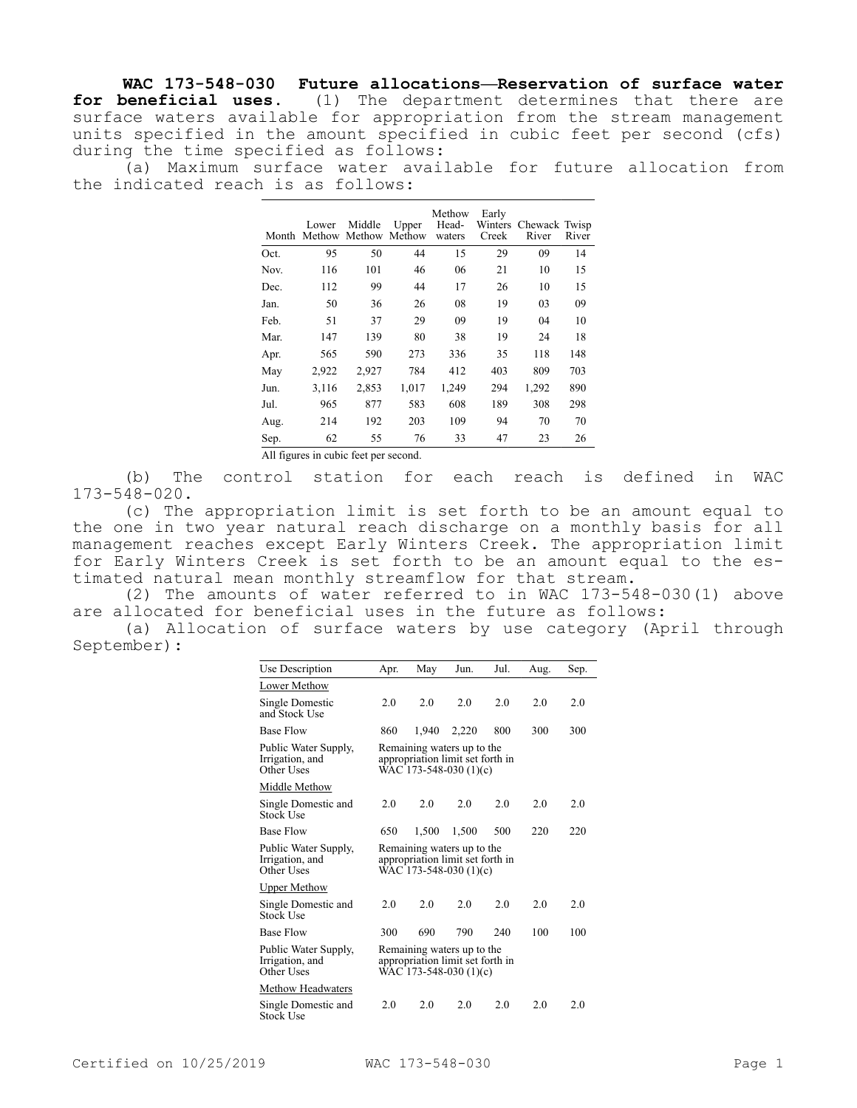**WAC 173-548-030 Future allocations—Reservation of surface water for beneficial uses.** (1) The department determines that there are surface waters available for appropriation from the stream management units specified in the amount specified in cubic feet per second (cfs) during the time specified as follows:

(a) Maximum surface water available for future allocation from the indicated reach is as follows:

|      | Lower<br>Month Methow Methow Methow | Middle | Upper | Methow<br>Head-<br>waters | Early<br>Creek | Winters Chewack Twisp<br>River | River |
|------|-------------------------------------|--------|-------|---------------------------|----------------|--------------------------------|-------|
| Oct. | 95                                  | 50     | 44    | 15                        | 29             | 09                             | 14    |
| Nov. | 116                                 | 101    | 46    | 06                        | 21             | 10                             | 15    |
| Dec. | 112                                 | 99     | 44    | 17                        | 26             | 10                             | 15    |
| Jan. | 50                                  | 36     | 26    | 08                        | 19             | 03                             | 09    |
| Feb. | 51                                  | 37     | 29    | 09                        | 19             | 04                             | 10    |
| Mar. | 147                                 | 139    | 80    | 38                        | 19             | 24                             | 18    |
| Apr. | 565                                 | 590    | 273   | 336                       | 35             | 118                            | 148   |
| May  | 2,922                               | 2,927  | 784   | 412                       | 403            | 809                            | 703   |
| Jun. | 3,116                               | 2,853  | 1,017 | 1,249                     | 294            | 1,292                          | 890   |
| Jul. | 965                                 | 877    | 583   | 608                       | 189            | 308                            | 298   |
| Aug. | 214                                 | 192    | 203   | 109                       | 94             | 70                             | 70    |
| Sep. | 62                                  | 55     | 76    | 33                        | 47             | 23                             | 26    |
|      |                                     |        |       |                           |                |                                |       |

All figures in cubic feet per second.

(b) The control station for each reach is defined in WAC 173-548-020.

(c) The appropriation limit is set forth to be an amount equal to the one in two year natural reach discharge on a monthly basis for all management reaches except Early Winters Creek. The appropriation limit for Early Winters Creek is set forth to be an amount equal to the estimated natural mean monthly streamflow for that stream.

(2) The amounts of water referred to in WAC 173-548-030(1) above are allocated for beneficial uses in the future as follows:

(a) Allocation of surface waters by use category (April through September):

| Use Description                                       | Apr.                                                                                     | May   | Jun.  | Jul. | Aug. | Sep. |  |  |
|-------------------------------------------------------|------------------------------------------------------------------------------------------|-------|-------|------|------|------|--|--|
| Lower Methow                                          |                                                                                          |       |       |      |      |      |  |  |
| Single Domestic<br>and Stock Use                      | 2.0                                                                                      | 2.0   | 2.0   | 2.0  | 2.0  | 2.0  |  |  |
| <b>Base Flow</b>                                      | 860                                                                                      | 1.940 | 2,220 | 800  | 300  | 300  |  |  |
| Public Water Supply,<br>Irrigation, and<br>Other Uses | Remaining waters up to the<br>appropriation limit set forth in<br>WAC 173-548-030 (1)(c) |       |       |      |      |      |  |  |
| Middle Methow                                         |                                                                                          |       |       |      |      |      |  |  |
| Single Domestic and<br>Stock Use                      | 2.0                                                                                      | 2.0   | 2.0   | 2.0  | 2.0  | 2.0  |  |  |
| <b>Base Flow</b>                                      | 650                                                                                      | 1.500 | 1,500 | 500  | 220  | 220  |  |  |
| Public Water Supply,<br>Irrigation, and<br>Other Uses | Remaining waters up to the<br>appropriation limit set forth in<br>WAC 173-548-030 (1)(c) |       |       |      |      |      |  |  |
| Upper Methow                                          |                                                                                          |       |       |      |      |      |  |  |
| Single Domestic and<br><b>Stock Use</b>               | 2.0                                                                                      | 2.0   | 2.0   | 2.0  | 2.0  | 2.0  |  |  |
| <b>Base Flow</b>                                      | 300                                                                                      | 690   | 790   | 240  | 100  | 100  |  |  |
| Public Water Supply,<br>Irrigation, and<br>Other Uses | Remaining waters up to the<br>appropriation limit set forth in<br>WAC 173-548-030 (1)(c) |       |       |      |      |      |  |  |
| Methow Headwaters                                     |                                                                                          |       |       |      |      |      |  |  |
| Single Domestic and<br>Stock Use                      | 2.0                                                                                      | 2.0   | 2.0   | 2.0  | 2.0  | 2.0  |  |  |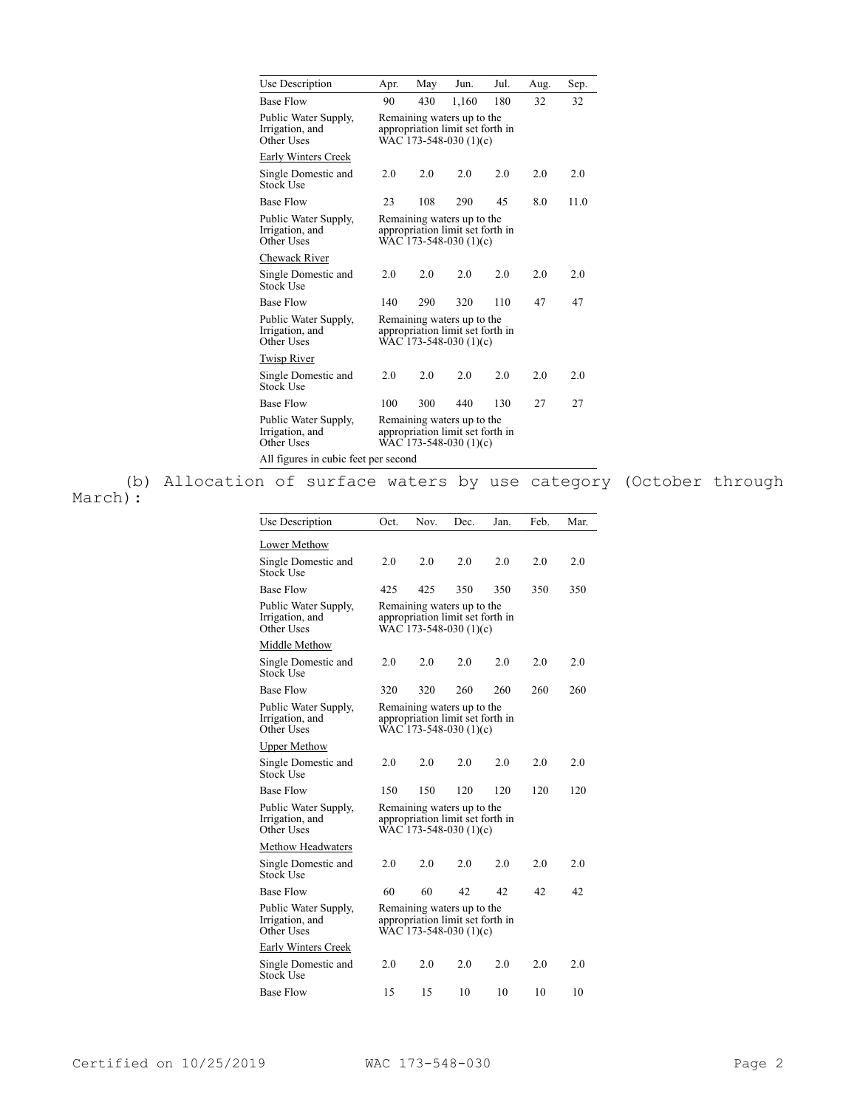| Use Description                                       | Apr.                                                                                     | May                                                                                      | Jun.  | Jul. | Aug. | Sep. |  |  |  |
|-------------------------------------------------------|------------------------------------------------------------------------------------------|------------------------------------------------------------------------------------------|-------|------|------|------|--|--|--|
| <b>Base Flow</b>                                      | 90                                                                                       | 430                                                                                      | 1,160 | 180  | 32   | 32   |  |  |  |
| Public Water Supply,<br>Irrigation, and<br>Other Uses | Remaining waters up to the<br>appropriation limit set forth in<br>WAC 173-548-030 (1)(c) |                                                                                          |       |      |      |      |  |  |  |
| Early Winters Creek                                   |                                                                                          |                                                                                          |       |      |      |      |  |  |  |
| Single Domestic and<br>Stock Use                      | 2.0                                                                                      | 2.0                                                                                      | 2.0   | 2.0  | 2.0  | 2.0  |  |  |  |
| <b>Base Flow</b>                                      | 23                                                                                       | 108                                                                                      | 290   | 45   | 8.0  | 11.0 |  |  |  |
| Public Water Supply,<br>Irrigation, and<br>Other Uses |                                                                                          | Remaining waters up to the<br>appropriation limit set forth in<br>WAC 173-548-030 (1)(c) |       |      |      |      |  |  |  |
| Chewack River                                         |                                                                                          |                                                                                          |       |      |      |      |  |  |  |
| Single Domestic and<br>Stock Use                      | 2.0                                                                                      | 2.0                                                                                      | 2.0   | 2.0  | 2.0  | 2.0  |  |  |  |
| <b>Base Flow</b>                                      | 140                                                                                      | 290                                                                                      | 320   | 110  | 47   | 47   |  |  |  |
| Public Water Supply,<br>Irrigation, and<br>Other Uses | Remaining waters up to the<br>appropriation limit set forth in<br>WAC 173-548-030 (1)(c) |                                                                                          |       |      |      |      |  |  |  |
| <b>Twisp River</b>                                    |                                                                                          |                                                                                          |       |      |      |      |  |  |  |
| Single Domestic and<br>Stock Use                      | 2.0                                                                                      | 2.0                                                                                      | 2.0   | 2.0  | 2.0  | 2.0  |  |  |  |
| <b>Base Flow</b>                                      | 100                                                                                      | 300                                                                                      | 440   | 130  | 27   | 27   |  |  |  |
| Public Water Supply,<br>Irrigation, and<br>Other Uses | Remaining waters up to the<br>appropriation limit set forth in<br>WAC 173-548-030 (1)(c) |                                                                                          |       |      |      |      |  |  |  |
| All figures in cubic feet per second                  |                                                                                          |                                                                                          |       |      |      |      |  |  |  |

(b) Allocation of surface waters by use category (October through March):

| Use Description                                       | Oct.                                                                                     | Nov.                                                                                     | Dec. | Jan. | Feb. | Mar. |  |  |  |
|-------------------------------------------------------|------------------------------------------------------------------------------------------|------------------------------------------------------------------------------------------|------|------|------|------|--|--|--|
| Lower Methow                                          |                                                                                          |                                                                                          |      |      |      |      |  |  |  |
| Single Domestic and<br><b>Stock Use</b>               | 2.0                                                                                      | 2.0                                                                                      | 2.0  | 2.0  | 2.0  | 2.0  |  |  |  |
| <b>Base Flow</b>                                      | 425                                                                                      | 425                                                                                      | 350  | 350  | 350  | 350  |  |  |  |
| Public Water Supply,<br>Irrigation, and<br>Other Uses |                                                                                          | Remaining waters up to the<br>appropriation limit set forth in<br>WAC 173-548-030 (1)(c) |      |      |      |      |  |  |  |
| Middle Methow                                         |                                                                                          |                                                                                          |      |      |      |      |  |  |  |
| Single Domestic and<br><b>Stock Use</b>               | 2.0                                                                                      | 2.0                                                                                      | 2.0  | 2.0  | 2.0  | 2.0  |  |  |  |
| <b>Base Flow</b>                                      | 320                                                                                      | 320                                                                                      | 260  | 260  | 260  | 260  |  |  |  |
| Public Water Supply,<br>Irrigation, and<br>Other Uses |                                                                                          | Remaining waters up to the<br>appropriation limit set forth in<br>WAC 173-548-030 (1)(c) |      |      |      |      |  |  |  |
| <b>Upper Methow</b>                                   |                                                                                          |                                                                                          |      |      |      |      |  |  |  |
| Single Domestic and<br>Stock Use                      | 2.0                                                                                      | 2.0                                                                                      | 2.0  | 2.0  | 2.0  | 2.0  |  |  |  |
| <b>Base Flow</b>                                      | 150                                                                                      | 150                                                                                      | 120  | 120  | 120  | 120  |  |  |  |
| Public Water Supply,<br>Irrigation, and<br>Other Uses | Remaining waters up to the<br>appropriation limit set forth in<br>WAC 173-548-030 (1)(c) |                                                                                          |      |      |      |      |  |  |  |
| Methow Headwaters                                     |                                                                                          |                                                                                          |      |      |      |      |  |  |  |
| Single Domestic and<br><b>Stock Use</b>               | 2.0                                                                                      | 2.0                                                                                      | 2.0  | 2.0  | 2.0  | 2.0  |  |  |  |
| <b>Base Flow</b>                                      | 60                                                                                       | 60                                                                                       | 42   | 42   | 42   | 42   |  |  |  |
| Public Water Supply,<br>Irrigation, and<br>Other Uses | Remaining waters up to the<br>appropriation limit set forth in<br>WAC 173-548-030 (1)(c) |                                                                                          |      |      |      |      |  |  |  |
| Early Winters Creek                                   |                                                                                          |                                                                                          |      |      |      |      |  |  |  |
| Single Domestic and<br><b>Stock Use</b>               | 2.0                                                                                      | 2.0                                                                                      | 2.0  | 2.0  | 2.0  | 2.0  |  |  |  |
| <b>Base Flow</b>                                      | 15                                                                                       | 15                                                                                       | 10   | 10   | 10   | 10   |  |  |  |
|                                                       |                                                                                          |                                                                                          |      |      |      |      |  |  |  |